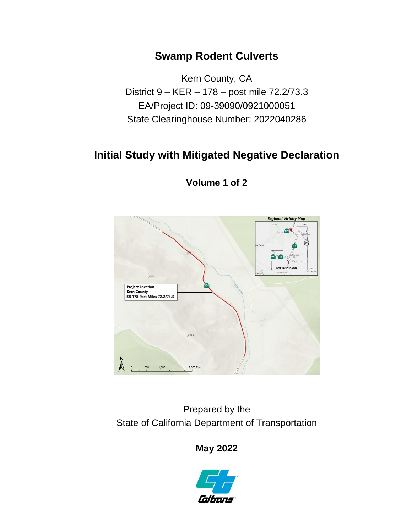# **Swamp Rodent Culverts**

Kern County, CA District 9 – KER – 178 – post mile 72.2/73.3 EA/Project ID: 09-39090/0921000051 State Clearinghouse Number: 2022040286

# **Initial Study with Mitigated Negative Declaration**



**Volume 1 of 2**

Prepared by the State of California Department of Transportation

# **May 2022**

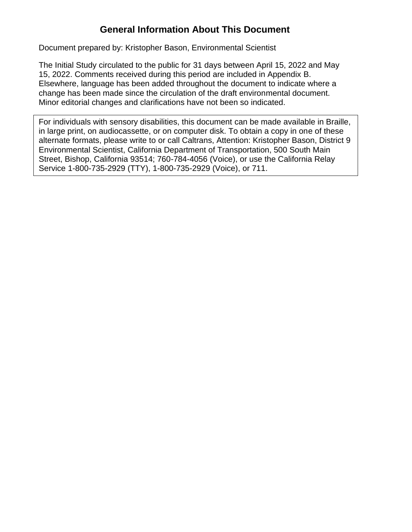# **General Information About This Document**

Document prepared by: Kristopher Bason, Environmental Scientist

The Initial Study circulated to the public for 31 days between April 15, 2022 and May 15, 2022. Comments received during this period are included in Appendix B. Elsewhere, language has been added throughout the document to indicate where a change has been made since the circulation of the draft environmental document. Minor editorial changes and clarifications have not been so indicated.

For individuals with sensory disabilities, this document can be made available in Braille, in large print, on audiocassette, or on computer disk. To obtain a copy in one of these alternate formats, please write to or call Caltrans, Attention: Kristopher Bason, District 9 Environmental Scientist, California Department of Transportation, 500 South Main Street, Bishop, California 93514; 760-784-4056 (Voice), or use the California Relay Service 1-800-735-2929 (TTY), 1-800-735-2929 (Voice), or 711.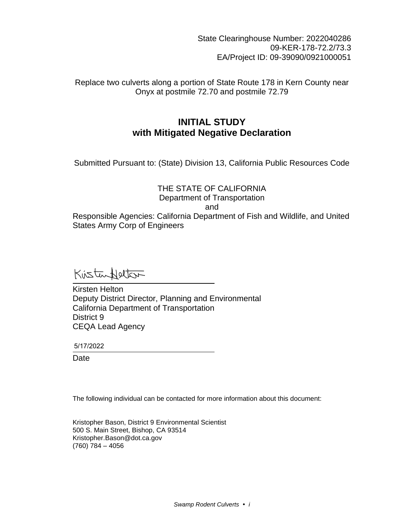State Clearinghouse Number: 2022040286 09-KER-178-72.2/73.3 EA/Project ID: 09-39090/0921000051

Replace two culverts along a portion of State Route 178 in Kern County near Onyx at postmile 72.70 and postmile 72.79

### **INITIAL STUDY with Mitigated Negative Declaration**

Submitted Pursuant to: (State) Division 13, California Public Resources Code

# THE STATE OF CALIFORNIA Department of Transportation

and

Responsible Agencies: California Department of Fish and Wildlife, and United States Army Corp of Engineers

KistenHelton

Kirsten Helton Deputy District Director, Planning and Environmental California Department of Transportation District 9 CEQA Lead Agency

5/17/2022

Date

The following individual can be contacted for more information about this document:

Kristopher Bason, District 9 Environmental Scientist 500 S. Main Street, Bishop, CA 93514 Kristopher.Bason@dot.ca.gov (760) 784 – 4056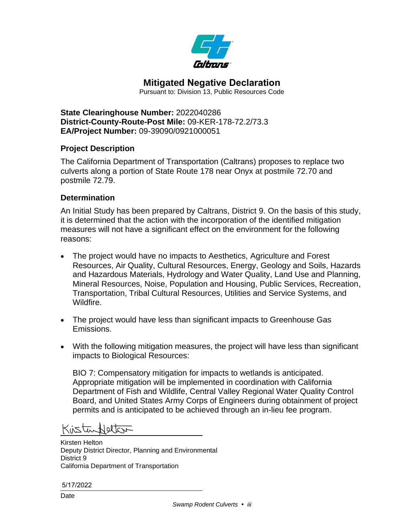

#### **Mitigated Negative Declaration**

Pursuant to: Division 13, Public Resources Code

<span id="page-4-0"></span>**State Clearinghouse Number:** 2022040286 **District-County-Route-Post Mile:** 09-KER-178-72.2/73.3 **EA/Project Number:** 09-39090/0921000051

#### **Project Description**

The California Department of Transportation (Caltrans) proposes to replace two culverts along a portion of State Route 178 near Onyx at postmile 72.70 and postmile 72.79.

#### **Determination**

An Initial Study has been prepared by Caltrans, District 9. On the basis of this study, it is determined that the action with the incorporation of the identified mitigation measures will not have a significant effect on the environment for the following reasons:

- The project would have no impacts to Aesthetics, Agriculture and Forest Resources, Air Quality, Cultural Resources, Energy, Geology and Soils, Hazards and Hazardous Materials, Hydrology and Water Quality, Land Use and Planning, Mineral Resources, Noise, Population and Housing, Public Services, Recreation, Transportation, Tribal Cultural Resources, Utilities and Service Systems, and Wildfire.
- The project would have less than significant impacts to Greenhouse Gas Emissions.
- With the following mitigation measures, the project will have less than significant impacts to Biological Resources:

BIO 7: Compensatory mitigation for impacts to wetlands is anticipated. Appropriate mitigation will be implemented in coordination with California Department of Fish and Wildlife, Central Valley Regional Water Quality Control Board, and United States Army Corps of Engineers during obtainment of project permits and is anticipated to be achieved through an in-lieu fee program.

Kistuheter

Kirsten Helton Deputy District Director, Planning and Environmental District 9 California Department of Transportation

5/17/2022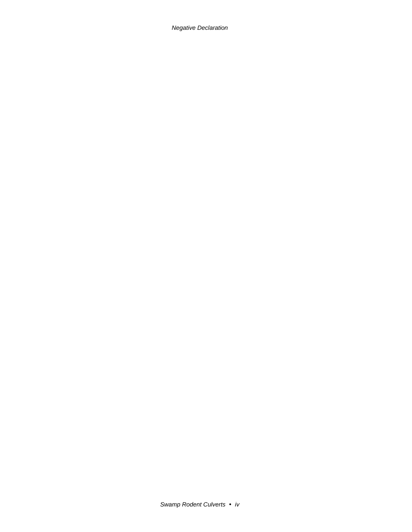**Negative Declaration**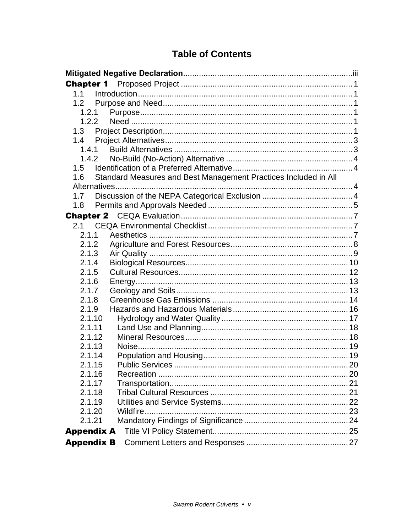| 1.1               |                                                                 |  |
|-------------------|-----------------------------------------------------------------|--|
|                   |                                                                 |  |
| 1.2.1             |                                                                 |  |
| 1.2.2             |                                                                 |  |
|                   |                                                                 |  |
|                   |                                                                 |  |
| 1.4.1             |                                                                 |  |
| 1.4.2             |                                                                 |  |
|                   |                                                                 |  |
| 1.6               | Standard Measures and Best Management Practices Included in All |  |
|                   |                                                                 |  |
| 1.7               |                                                                 |  |
| 1.8               |                                                                 |  |
|                   |                                                                 |  |
|                   |                                                                 |  |
| 2.1.1             |                                                                 |  |
| 2.1.2             |                                                                 |  |
| 2.1.3             |                                                                 |  |
| 2.1.4             |                                                                 |  |
| 2.1.5             |                                                                 |  |
| 2.1.6             |                                                                 |  |
| 2.1.7             |                                                                 |  |
| 2.1.8             |                                                                 |  |
| 2.1.9             |                                                                 |  |
| 2.1.10            |                                                                 |  |
| 2.1.11            |                                                                 |  |
| 2.1.12            |                                                                 |  |
| 2.1.13            |                                                                 |  |
| 2.1.14            |                                                                 |  |
| 2.1.15            |                                                                 |  |
| 2.1.16            |                                                                 |  |
| 2.1.17            |                                                                 |  |
| 2.1.18            |                                                                 |  |
| 2.1.19            |                                                                 |  |
| 2.1.20            |                                                                 |  |
| 2.1.21            |                                                                 |  |
| <b>Appendix A</b> |                                                                 |  |
| <b>Appendix B</b> |                                                                 |  |

# **Table of Contents**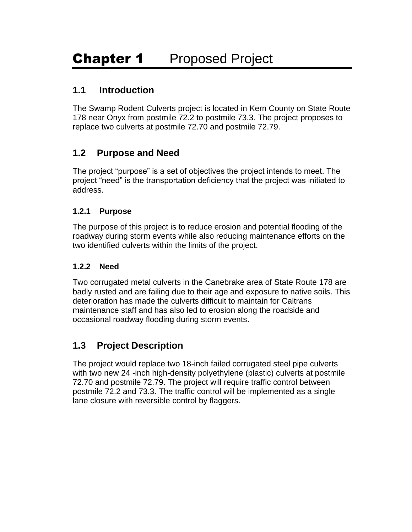# <span id="page-8-1"></span><span id="page-8-0"></span>**1.1 Introduction**

The Swamp Rodent Culverts project is located in Kern County on State Route 178 near Onyx from postmile 72.2 to postmile 73.3. The project proposes to replace two culverts at postmile 72.70 and postmile 72.79.

# <span id="page-8-2"></span>**1.2 Purpose and Need**

The project "purpose" is a set of objectives the project intends to meet. The project "need" is the transportation deficiency that the project was initiated to address.

#### <span id="page-8-3"></span>**1.2.1 Purpose**

The purpose of this project is to reduce erosion and potential flooding of the roadway during storm events while also reducing maintenance efforts on the two identified culverts within the limits of the project.

#### <span id="page-8-4"></span>**1.2.2 Need**

Two corrugated metal culverts in the Canebrake area of State Route 178 are badly rusted and are failing due to their age and exposure to native soils. This deterioration has made the culverts difficult to maintain for Caltrans maintenance staff and has also led to erosion along the roadside and occasional roadway flooding during storm events.

# <span id="page-8-5"></span>**1.3 Project Description**

The project would replace two 18-inch failed corrugated steel pipe culverts with two new 24 -inch high-density polyethylene (plastic) culverts at postmile 72.70 and postmile 72.79. The project will require traffic control between postmile 72.2 and 73.3. The traffic control will be implemented as a single lane closure with reversible control by flaggers.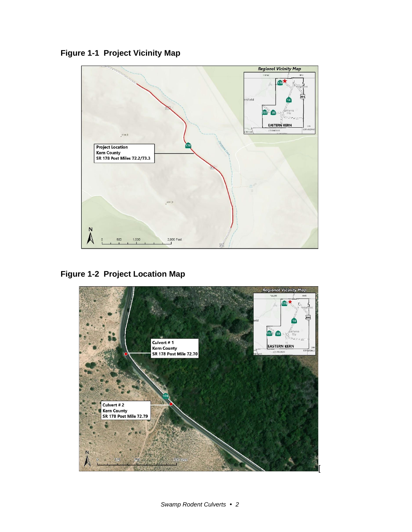**Figure 1-1 Project Vicinity Map**



**Figure 1-2 Project Location Map**

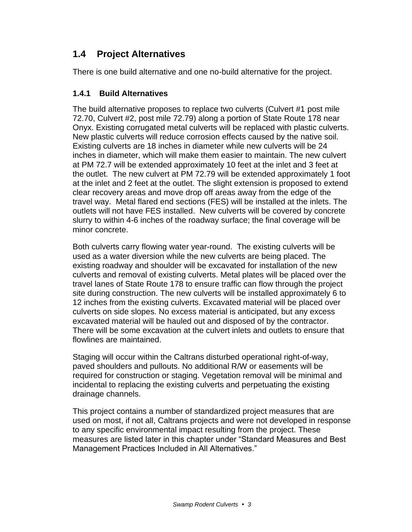# <span id="page-10-0"></span>**1.4 Project Alternatives**

There is one build alternative and one no-build alternative for the project.

#### <span id="page-10-1"></span>**1.4.1 Build Alternatives**

The build alternative proposes to replace two culverts (Culvert #1 post mile 72.70, Culvert #2, post mile 72.79) along a portion of State Route 178 near Onyx. Existing corrugated metal culverts will be replaced with plastic culverts. New plastic culverts will reduce corrosion effects caused by the native soil. Existing culverts are 18 inches in diameter while new culverts will be 24 inches in diameter, which will make them easier to maintain. The new culvert at PM 72.7 will be extended approximately 10 feet at the inlet and 3 feet at the outlet. The new culvert at PM 72.79 will be extended approximately 1 foot at the inlet and 2 feet at the outlet. The slight extension is proposed to extend clear recovery areas and move drop off areas away from the edge of the travel way. Metal flared end sections (FES) will be installed at the inlets. The outlets will not have FES installed. New culverts will be covered by concrete slurry to within 4-6 inches of the roadway surface; the final coverage will be minor concrete.

Both culverts carry flowing water year-round. The existing culverts will be used as a water diversion while the new culverts are being placed. The existing roadway and shoulder will be excavated for installation of the new culverts and removal of existing culverts. Metal plates will be placed over the travel lanes of State Route 178 to ensure traffic can flow through the project site during construction. The new culverts will be installed approximately 6 to 12 inches from the existing culverts. Excavated material will be placed over culverts on side slopes. No excess material is anticipated, but any excess excavated material will be hauled out and disposed of by the contractor. There will be some excavation at the culvert inlets and outlets to ensure that flowlines are maintained.

Staging will occur within the Caltrans disturbed operational right-of-way, paved shoulders and pullouts. No additional R/W or easements will be required for construction or staging. Vegetation removal will be minimal and incidental to replacing the existing culverts and perpetuating the existing drainage channels.

This project contains a number of standardized project measures that are used on most, if not all, Caltrans projects and were not developed in response to any specific environmental impact resulting from the project. These measures are listed later in this chapter under "Standard Measures and Best Management Practices Included in All Alternatives."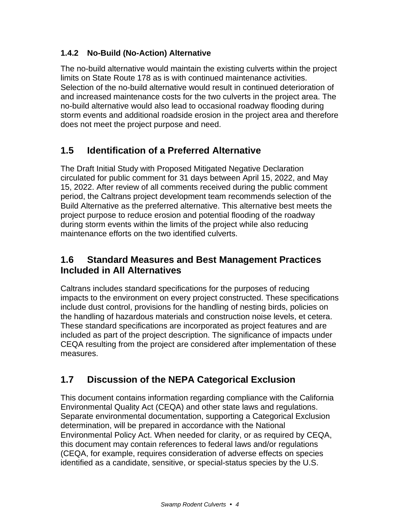#### <span id="page-11-0"></span>**1.4.2 No-Build (No-Action) Alternative**

The no-build alternative would maintain the existing culverts within the project limits on State Route 178 as is with continued maintenance activities. Selection of the no-build alternative would result in continued deterioration of and increased maintenance costs for the two culverts in the project area. The no-build alternative would also lead to occasional roadway flooding during storm events and additional roadside erosion in the project area and therefore does not meet the project purpose and need.

# <span id="page-11-1"></span>**1.5 Identification of a Preferred Alternative**

The Draft Initial Study with Proposed Mitigated Negative Declaration circulated for public comment for 31 days between April 15, 2022, and May 15, 2022. After review of all comments received during the public comment period, the Caltrans project development team recommends selection of the Build Alternative as the preferred alternative. This alternative best meets the project purpose to reduce erosion and potential flooding of the roadway during storm events within the limits of the project while also reducing maintenance efforts on the two identified culverts.

### <span id="page-11-2"></span>**1.6 Standard Measures and Best Management Practices Included in All Alternatives**

Caltrans includes standard specifications for the purposes of reducing impacts to the environment on every project constructed. These specifications include dust control, provisions for the handling of nesting birds, policies on the handling of hazardous materials and construction noise levels, et cetera. These standard specifications are incorporated as project features and are included as part of the project description. The significance of impacts under CEQA resulting from the project are considered after implementation of these measures.

# <span id="page-11-3"></span>**1.7 Discussion of the NEPA Categorical Exclusion**

This document contains information regarding compliance with the California Environmental Quality Act (CEQA) and other state laws and regulations. Separate environmental documentation, supporting a Categorical Exclusion determination, will be prepared in accordance with the National Environmental Policy Act. When needed for clarity, or as required by CEQA, this document may contain references to federal laws and/or regulations (CEQA, for example, requires consideration of adverse effects on species identified as a candidate, sensitive, or special-status species by the U.S.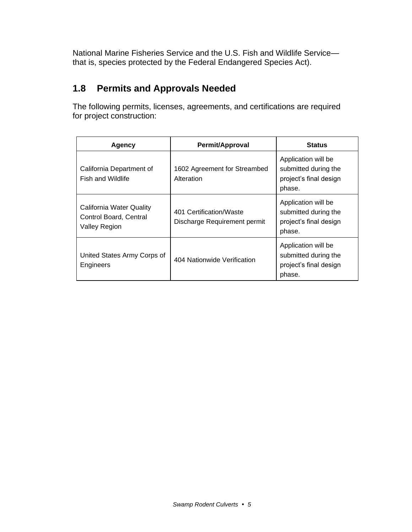National Marine Fisheries Service and the U.S. Fish and Wildlife Service that is, species protected by the Federal Endangered Species Act).

# <span id="page-12-0"></span>**1.8 Permits and Approvals Needed**

The following permits, licenses, agreements, and certifications are required for project construction:

| Agency                                                                     | Permit/Approval                                         | <b>Status</b>                                                                   |
|----------------------------------------------------------------------------|---------------------------------------------------------|---------------------------------------------------------------------------------|
| California Department of<br><b>Fish and Wildlife</b>                       | 1602 Agreement for Streambed<br>Alteration              | Application will be<br>submitted during the<br>project's final design<br>phase. |
| California Water Quality<br>Control Board, Central<br><b>Valley Region</b> | 401 Certification/Waste<br>Discharge Requirement permit | Application will be<br>submitted during the<br>project's final design<br>phase. |
| United States Army Corps of<br>Engineers                                   | 404 Nationwide Verification                             | Application will be<br>submitted during the<br>project's final design<br>phase. |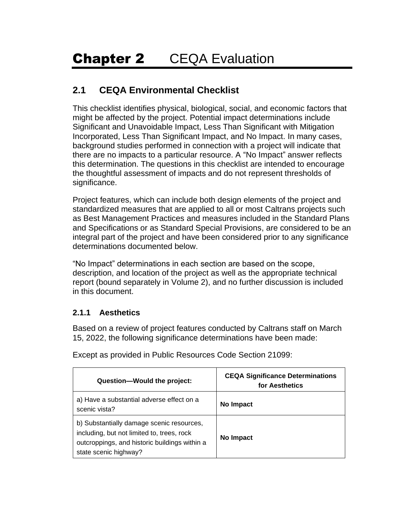# <span id="page-14-1"></span><span id="page-14-0"></span>**2.1 CEQA Environmental Checklist**

This checklist identifies physical, biological, social, and economic factors that might be affected by the project. Potential impact determinations include Significant and Unavoidable Impact, Less Than Significant with Mitigation Incorporated, Less Than Significant Impact, and No Impact. In many cases, background studies performed in connection with a project will indicate that there are no impacts to a particular resource. A "No Impact" answer reflects this determination. The questions in this checklist are intended to encourage the thoughtful assessment of impacts and do not represent thresholds of significance.

Project features, which can include both design elements of the project and standardized measures that are applied to all or most Caltrans projects such as Best Management Practices and measures included in the Standard Plans and Specifications or as Standard Special Provisions, are considered to be an integral part of the project and have been considered prior to any significance determinations documented below.

"No Impact" determinations in each section are based on the scope, description, and location of the project as well as the appropriate technical report (bound separately in Volume 2), and no further discussion is included in this document.

#### <span id="page-14-2"></span>**2.1.1 Aesthetics**

Based on a review of project features conducted by Caltrans staff on March 15, 2022, the following significance determinations have been made:

| Question-Would the project:                                                                                                                                       | <b>CEQA Significance Determinations</b><br>for Aesthetics |
|-------------------------------------------------------------------------------------------------------------------------------------------------------------------|-----------------------------------------------------------|
| a) Have a substantial adverse effect on a<br>scenic vista?                                                                                                        | No Impact                                                 |
| b) Substantially damage scenic resources,<br>including, but not limited to, trees, rock<br>outcroppings, and historic buildings within a<br>state scenic highway? | No Impact                                                 |

Except as provided in Public Resources Code Section 21099: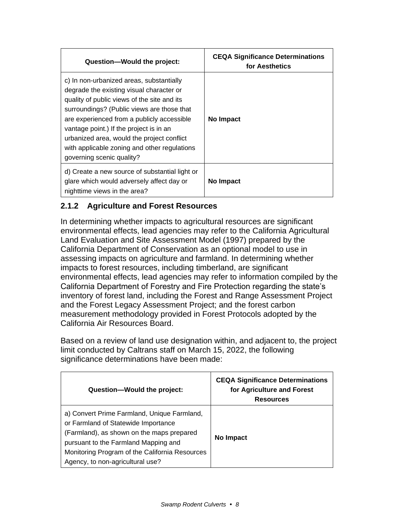| Question-Would the project:                                                                                                                                                                                                                                                                                                                                                                           | <b>CEQA Significance Determinations</b><br>for Aesthetics |
|-------------------------------------------------------------------------------------------------------------------------------------------------------------------------------------------------------------------------------------------------------------------------------------------------------------------------------------------------------------------------------------------------------|-----------------------------------------------------------|
| c) In non-urbanized areas, substantially<br>degrade the existing visual character or<br>quality of public views of the site and its<br>surroundings? (Public views are those that<br>are experienced from a publicly accessible<br>vantage point.) If the project is in an<br>urbanized area, would the project conflict<br>with applicable zoning and other regulations<br>governing scenic quality? | No Impact                                                 |
| d) Create a new source of substantial light or<br>glare which would adversely affect day or<br>nighttime views in the area?                                                                                                                                                                                                                                                                           | No Impact                                                 |

#### <span id="page-15-0"></span>**2.1.2 Agriculture and Forest Resources**

In determining whether impacts to agricultural resources are significant environmental effects, lead agencies may refer to the California Agricultural Land Evaluation and Site Assessment Model (1997) prepared by the California Department of Conservation as an optional model to use in assessing impacts on agriculture and farmland. In determining whether impacts to forest resources, including timberland, are significant environmental effects, lead agencies may refer to information compiled by the California Department of Forestry and Fire Protection regarding the state's inventory of forest land, including the Forest and Range Assessment Project and the Forest Legacy Assessment Project; and the forest carbon measurement methodology provided in Forest Protocols adopted by the California Air Resources Board.

Based on a review of land use designation within, and adjacent to, the project limit conducted by Caltrans staff on March 15, 2022, the following significance determinations have been made:

| Question—Would the project:                                                                                                                                                                                                                                   | <b>CEQA Significance Determinations</b><br>for Agriculture and Forest<br><b>Resources</b> |
|---------------------------------------------------------------------------------------------------------------------------------------------------------------------------------------------------------------------------------------------------------------|-------------------------------------------------------------------------------------------|
| a) Convert Prime Farmland, Unique Farmland,<br>or Farmland of Statewide Importance<br>(Farmland), as shown on the maps prepared<br>pursuant to the Farmland Mapping and<br>Monitoring Program of the California Resources<br>Agency, to non-agricultural use? | No Impact                                                                                 |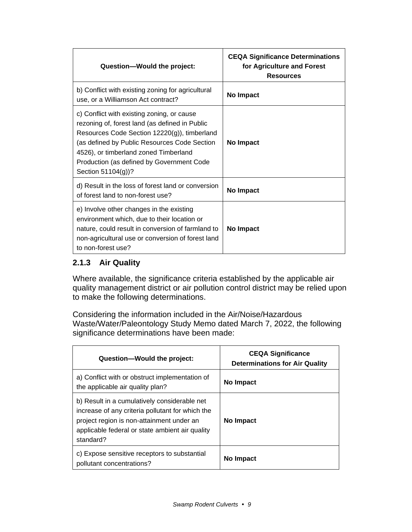| Question-Would the project:                                                                                                                                                                                                                                                                              | <b>CEQA Significance Determinations</b><br>for Agriculture and Forest<br><b>Resources</b> |
|----------------------------------------------------------------------------------------------------------------------------------------------------------------------------------------------------------------------------------------------------------------------------------------------------------|-------------------------------------------------------------------------------------------|
| b) Conflict with existing zoning for agricultural<br>use, or a Williamson Act contract?                                                                                                                                                                                                                  | No Impact                                                                                 |
| c) Conflict with existing zoning, or cause<br>rezoning of, forest land (as defined in Public<br>Resources Code Section 12220(g)), timberland<br>(as defined by Public Resources Code Section<br>4526), or timberland zoned Timberland<br>Production (as defined by Government Code<br>Section 51104(g))? | <b>No Impact</b>                                                                          |
| d) Result in the loss of forest land or conversion<br>of forest land to non-forest use?                                                                                                                                                                                                                  | No Impact                                                                                 |
| e) Involve other changes in the existing<br>environment which, due to their location or<br>nature, could result in conversion of farmland to<br>non-agricultural use or conversion of forest land<br>to non-forest use?                                                                                  | <b>No Impact</b>                                                                          |

#### <span id="page-16-0"></span>**2.1.3 Air Quality**

Where available, the significance criteria established by the applicable air quality management district or air pollution control district may be relied upon to make the following determinations.

| Question-Would the project:                                                                                                                                                                                   | <b>CEQA Significance</b><br><b>Determinations for Air Quality</b> |
|---------------------------------------------------------------------------------------------------------------------------------------------------------------------------------------------------------------|-------------------------------------------------------------------|
| a) Conflict with or obstruct implementation of<br>the applicable air quality plan?                                                                                                                            | No Impact                                                         |
| b) Result in a cumulatively considerable net<br>increase of any criteria pollutant for which the<br>project region is non-attainment under an<br>applicable federal or state ambient air quality<br>standard? | No Impact                                                         |
| c) Expose sensitive receptors to substantial<br>pollutant concentrations?                                                                                                                                     | No Impact                                                         |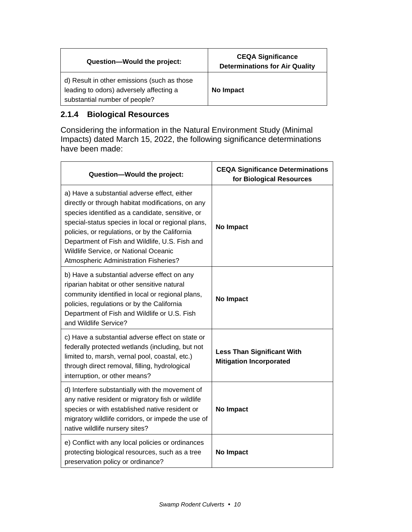| Question-Would the project:                                                                                             | <b>CEQA Significance</b><br><b>Determinations for Air Quality</b> |
|-------------------------------------------------------------------------------------------------------------------------|-------------------------------------------------------------------|
| d) Result in other emissions (such as those<br>leading to odors) adversely affecting a<br>substantial number of people? | No Impact                                                         |

#### <span id="page-17-0"></span>**2.1.4 Biological Resources**

Considering the information in the Natural Environment Study (Minimal Impacts) dated March 15, 2022, the following significance determinations have been made:

| Question-Would the project:                                                                                                                                                                                                                                                                                                                                                                              | <b>CEQA Significance Determinations</b><br>for Biological Resources |
|----------------------------------------------------------------------------------------------------------------------------------------------------------------------------------------------------------------------------------------------------------------------------------------------------------------------------------------------------------------------------------------------------------|---------------------------------------------------------------------|
| a) Have a substantial adverse effect, either<br>directly or through habitat modifications, on any<br>species identified as a candidate, sensitive, or<br>special-status species in local or regional plans,<br>policies, or regulations, or by the California<br>Department of Fish and Wildlife, U.S. Fish and<br>Wildlife Service, or National Oceanic<br><b>Atmospheric Administration Fisheries?</b> | No Impact                                                           |
| b) Have a substantial adverse effect on any<br>riparian habitat or other sensitive natural<br>community identified in local or regional plans,<br>policies, regulations or by the California<br>Department of Fish and Wildlife or U.S. Fish<br>and Wildlife Service?                                                                                                                                    | No Impact                                                           |
| c) Have a substantial adverse effect on state or<br>federally protected wetlands (including, but not<br>limited to, marsh, vernal pool, coastal, etc.)<br>through direct removal, filling, hydrological<br>interruption, or other means?                                                                                                                                                                 | <b>Less Than Significant With</b><br><b>Mitigation Incorporated</b> |
| d) Interfere substantially with the movement of<br>any native resident or migratory fish or wildlife<br>species or with established native resident or<br>migratory wildlife corridors, or impede the use of<br>native wildlife nursery sites?                                                                                                                                                           | No Impact                                                           |
| e) Conflict with any local policies or ordinances<br>protecting biological resources, such as a tree<br>preservation policy or ordinance?                                                                                                                                                                                                                                                                | No Impact                                                           |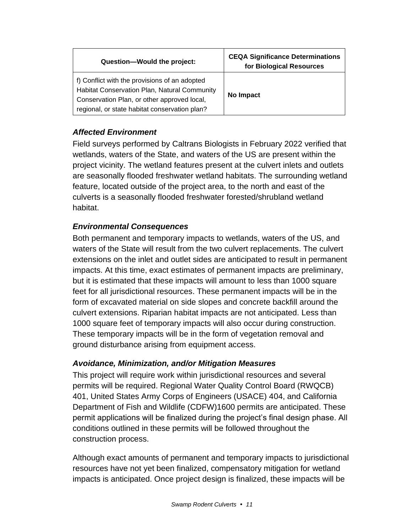| Question-Would the project:                                                                                                                                                                   | <b>CEQA Significance Determinations</b><br>for Biological Resources |
|-----------------------------------------------------------------------------------------------------------------------------------------------------------------------------------------------|---------------------------------------------------------------------|
| f) Conflict with the provisions of an adopted<br>Habitat Conservation Plan, Natural Community<br>Conservation Plan, or other approved local,<br>regional, or state habitat conservation plan? | No Impact                                                           |

### *Affected Environment*

Field surveys performed by Caltrans Biologists in February 2022 verified that wetlands, waters of the State, and waters of the US are present within the project vicinity. The wetland features present at the culvert inlets and outlets are seasonally flooded freshwater wetland habitats. The surrounding wetland feature, located outside of the project area, to the north and east of the culverts is a seasonally flooded freshwater forested/shrubland wetland habitat.

#### *Environmental Consequences*

Both permanent and temporary impacts to wetlands, waters of the US, and waters of the State will result from the two culvert replacements. The culvert extensions on the inlet and outlet sides are anticipated to result in permanent impacts. At this time, exact estimates of permanent impacts are preliminary, but it is estimated that these impacts will amount to less than 1000 square feet for all jurisdictional resources. These permanent impacts will be in the form of excavated material on side slopes and concrete backfill around the culvert extensions. Riparian habitat impacts are not anticipated. Less than 1000 square feet of temporary impacts will also occur during construction. These temporary impacts will be in the form of vegetation removal and ground disturbance arising from equipment access.

#### *Avoidance, Minimization, and/or Mitigation Measures*

This project will require work within jurisdictional resources and several permits will be required. Regional Water Quality Control Board (RWQCB) 401, United States Army Corps of Engineers (USACE) 404, and California Department of Fish and Wildlife (CDFW)1600 permits are anticipated. These permit applications will be finalized during the project's final design phase. All conditions outlined in these permits will be followed throughout the construction process.

Although exact amounts of permanent and temporary impacts to jurisdictional resources have not yet been finalized, compensatory mitigation for wetland impacts is anticipated. Once project design is finalized, these impacts will be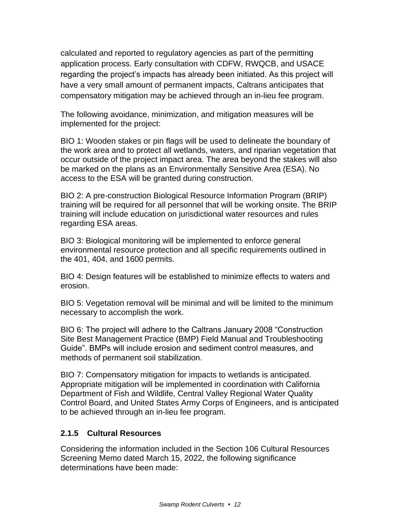calculated and reported to regulatory agencies as part of the permitting application process. Early consultation with CDFW, RWQCB, and USACE regarding the project's impacts has already been initiated. As this project will have a very small amount of permanent impacts, Caltrans anticipates that compensatory mitigation may be achieved through an in-lieu fee program.

The following avoidance, minimization, and mitigation measures will be implemented for the project:

BIO 1: Wooden stakes or pin flags will be used to delineate the boundary of the work area and to protect all wetlands, waters, and riparian vegetation that occur outside of the project impact area. The area beyond the stakes will also be marked on the plans as an Environmentally Sensitive Area (ESA). No access to the ESA will be granted during construction.

BIO 2: A pre-construction Biological Resource Information Program (BRIP) training will be required for all personnel that will be working onsite. The BRIP training will include education on jurisdictional water resources and rules regarding ESA areas.

BIO 3: Biological monitoring will be implemented to enforce general environmental resource protection and all specific requirements outlined in the 401, 404, and 1600 permits.

BIO 4: Design features will be established to minimize effects to waters and erosion.

BIO 5: Vegetation removal will be minimal and will be limited to the minimum necessary to accomplish the work.

BIO 6: The project will adhere to the Caltrans January 2008 "Construction Site Best Management Practice (BMP) Field Manual and Troubleshooting Guide". BMPs will include erosion and sediment control measures, and methods of permanent soil stabilization.

BIO 7: Compensatory mitigation for impacts to wetlands is anticipated. Appropriate mitigation will be implemented in coordination with California Department of Fish and Wildlife, Central Valley Regional Water Quality Control Board, and United States Army Corps of Engineers, and is anticipated to be achieved through an in-lieu fee program.

#### <span id="page-19-0"></span>**2.1.5 Cultural Resources**

Considering the information included in the Section 106 Cultural Resources Screening Memo dated March 15, 2022, the following significance determinations have been made: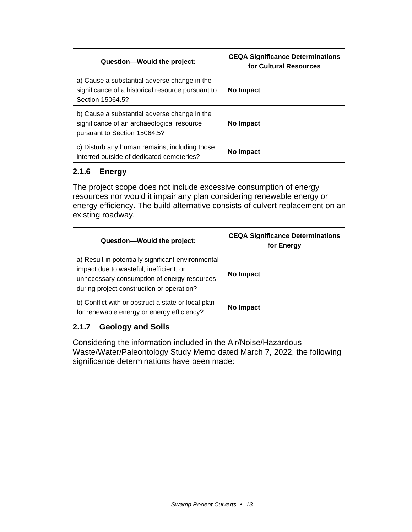| Question-Would the project:                                                                                                | <b>CEQA Significance Determinations</b><br>for Cultural Resources |
|----------------------------------------------------------------------------------------------------------------------------|-------------------------------------------------------------------|
| a) Cause a substantial adverse change in the<br>significance of a historical resource pursuant to<br>Section 15064.5?      | No Impact                                                         |
| b) Cause a substantial adverse change in the<br>significance of an archaeological resource<br>pursuant to Section 15064.5? | No Impact                                                         |
| c) Disturb any human remains, including those<br>interred outside of dedicated cemeteries?                                 | No Impact                                                         |

#### <span id="page-20-0"></span>**2.1.6 Energy**

The project scope does not include excessive consumption of energy resources nor would it impair any plan considering renewable energy or energy efficiency. The build alternative consists of culvert replacement on an existing roadway.

| Question-Would the project:                                                                                                                                                               | <b>CEQA Significance Determinations</b><br>for Energy |
|-------------------------------------------------------------------------------------------------------------------------------------------------------------------------------------------|-------------------------------------------------------|
| a) Result in potentially significant environmental<br>impact due to wasteful, inefficient, or<br>unnecessary consumption of energy resources<br>during project construction or operation? | <b>No Impact</b>                                      |
| b) Conflict with or obstruct a state or local plan<br>for renewable energy or energy efficiency?                                                                                          | <b>No Impact</b>                                      |

#### <span id="page-20-1"></span>**2.1.7 Geology and Soils**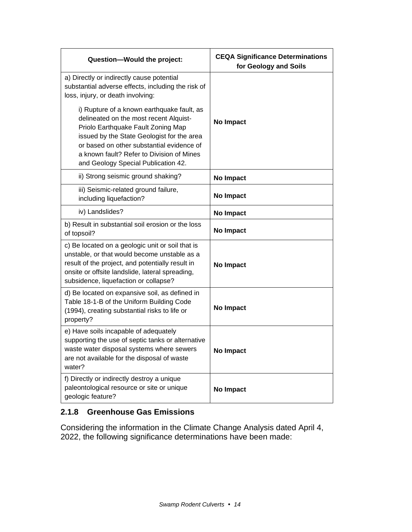| Question-Would the project:                                                                                                                                                                                                                                                                               | <b>CEQA Significance Determinations</b><br>for Geology and Soils |
|-----------------------------------------------------------------------------------------------------------------------------------------------------------------------------------------------------------------------------------------------------------------------------------------------------------|------------------------------------------------------------------|
| a) Directly or indirectly cause potential<br>substantial adverse effects, including the risk of<br>loss, injury, or death involving:                                                                                                                                                                      |                                                                  |
| i) Rupture of a known earthquake fault, as<br>delineated on the most recent Alquist-<br>Priolo Earthquake Fault Zoning Map<br>issued by the State Geologist for the area<br>or based on other substantial evidence of<br>a known fault? Refer to Division of Mines<br>and Geology Special Publication 42. | <b>No Impact</b>                                                 |
| ii) Strong seismic ground shaking?                                                                                                                                                                                                                                                                        | No Impact                                                        |
| iii) Seismic-related ground failure,<br>including liquefaction?                                                                                                                                                                                                                                           | No Impact                                                        |
| iv) Landslides?                                                                                                                                                                                                                                                                                           | <b>No Impact</b>                                                 |
| b) Result in substantial soil erosion or the loss<br>of topsoil?                                                                                                                                                                                                                                          | No Impact                                                        |
| c) Be located on a geologic unit or soil that is<br>unstable, or that would become unstable as a<br>result of the project, and potentially result in<br>onsite or offsite landslide, lateral spreading,<br>subsidence, liquefaction or collapse?                                                          | No Impact                                                        |
| d) Be located on expansive soil, as defined in<br>Table 18-1-B of the Uniform Building Code<br>(1994), creating substantial risks to life or<br>property?                                                                                                                                                 | No Impact                                                        |
| e) Have soils incapable of adequately<br>supporting the use of septic tanks or alternative<br>waste water disposal systems where sewers<br>are not available for the disposal of waste<br>water?                                                                                                          | No Impact                                                        |
| f) Directly or indirectly destroy a unique<br>paleontological resource or site or unique<br>geologic feature?                                                                                                                                                                                             | No Impact                                                        |

# <span id="page-21-0"></span>**2.1.8 Greenhouse Gas Emissions**

Considering the information in the Climate Change Analysis dated April 4, 2022, the following significance determinations have been made: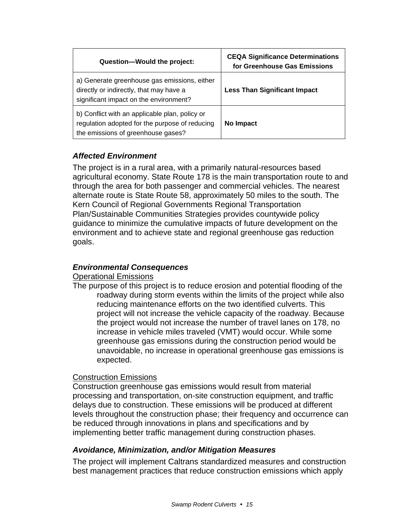| Question-Would the project:                                                                                                            | <b>CEQA Significance Determinations</b><br>for Greenhouse Gas Emissions |
|----------------------------------------------------------------------------------------------------------------------------------------|-------------------------------------------------------------------------|
| a) Generate greenhouse gas emissions, either<br>directly or indirectly, that may have a<br>significant impact on the environment?      | <b>Less Than Significant Impact</b>                                     |
| b) Conflict with an applicable plan, policy or<br>regulation adopted for the purpose of reducing<br>the emissions of greenhouse gases? | No Impact                                                               |

#### *Affected Environment*

The project is in a rural area, with a primarily natural-resources based agricultural economy. State Route 178 is the main transportation route to and through the area for both passenger and commercial vehicles. The nearest alternate route is State Route 58, approximately 50 miles to the south. The Kern Council of Regional Governments Regional Transportation Plan/Sustainable Communities Strategies provides countywide policy guidance to minimize the cumulative impacts of future development on the environment and to achieve state and regional greenhouse gas reduction goals.

#### *Environmental Consequences*

#### Operational Emissions

The purpose of this project is to reduce erosion and potential flooding of the roadway during storm events within the limits of the project while also reducing maintenance efforts on the two identified culverts. This project will not increase the vehicle capacity of the roadway. Because the project would not increase the number of travel lanes on 178, no increase in vehicle miles traveled (VMT) would occur. While some greenhouse gas emissions during the construction period would be unavoidable, no increase in operational greenhouse gas emissions is expected.

#### Construction Emissions

Construction greenhouse gas emissions would result from material processing and transportation, on-site construction equipment, and traffic delays due to construction. These emissions will be produced at different levels throughout the construction phase; their frequency and occurrence can be reduced through innovations in plans and specifications and by implementing better traffic management during construction phases.

#### *Avoidance, Minimization, and/or Mitigation Measures*

The project will implement Caltrans standardized measures and construction best management practices that reduce construction emissions which apply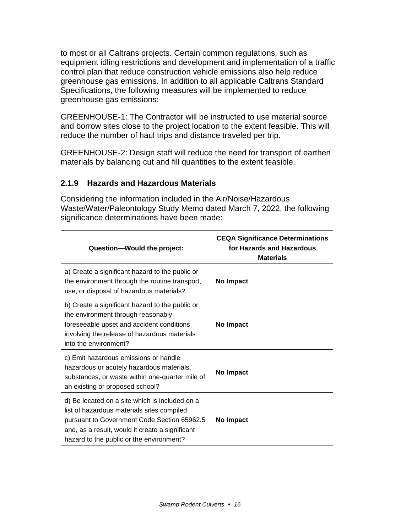to most or all Caltrans projects. Certain common regulations, such as equipment idling restrictions and development and implementation of a traffic control plan that reduce construction vehicle emissions also help reduce greenhouse gas emissions. In addition to all applicable Caltrans Standard Specifications, the following measures will be implemented to reduce greenhouse gas emissions:

GREENHOUSE-1: The Contractor will be instructed to use material source and borrow sites close to the project location to the extent feasible. This will reduce the number of haul trips and distance traveled per trip.

GREENHOUSE-2: Design staff will reduce the need for transport of earthen materials by balancing cut and fill quantities to the extent feasible.

#### <span id="page-23-0"></span>**2.1.9 Hazards and Hazardous Materials**

| Question-Would the project:                                                                                                                                                                                                                | <b>CEQA Significance Determinations</b><br>for Hazards and Hazardous<br><b>Materials</b> |
|--------------------------------------------------------------------------------------------------------------------------------------------------------------------------------------------------------------------------------------------|------------------------------------------------------------------------------------------|
| a) Create a significant hazard to the public or<br>the environment through the routine transport,<br>use, or disposal of hazardous materials?                                                                                              | No Impact                                                                                |
| b) Create a significant hazard to the public or<br>the environment through reasonably<br>foreseeable upset and accident conditions<br>involving the release of hazardous materials<br>into the environment?                                | <b>No Impact</b>                                                                         |
| c) Emit hazardous emissions or handle<br>hazardous or acutely hazardous materials,<br>substances, or waste within one-quarter mile of<br>an existing or proposed school?                                                                   | <b>No Impact</b>                                                                         |
| d) Be located on a site which is included on a<br>list of hazardous materials sites compiled<br>pursuant to Government Code Section 65962.5<br>and, as a result, would it create a significant<br>hazard to the public or the environment? | No Impact                                                                                |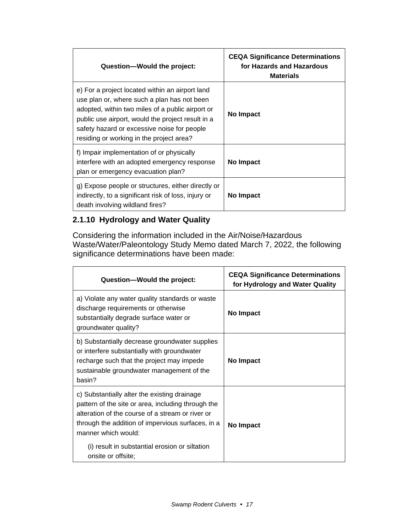| Question—Would the project:                                                                                                                                                                                                                                                                        | <b>CEQA Significance Determinations</b><br>for Hazards and Hazardous<br><b>Materials</b> |
|----------------------------------------------------------------------------------------------------------------------------------------------------------------------------------------------------------------------------------------------------------------------------------------------------|------------------------------------------------------------------------------------------|
| e) For a project located within an airport land<br>use plan or, where such a plan has not been<br>adopted, within two miles of a public airport or<br>public use airport, would the project result in a<br>safety hazard or excessive noise for people<br>residing or working in the project area? | No Impact                                                                                |
| f) Impair implementation of or physically<br>interfere with an adopted emergency response<br>plan or emergency evacuation plan?                                                                                                                                                                    | No Impact                                                                                |
| g) Expose people or structures, either directly or<br>indirectly, to a significant risk of loss, injury or<br>death involving wildland fires?                                                                                                                                                      | No Impact                                                                                |

# <span id="page-24-0"></span>**2.1.10 Hydrology and Water Quality**

| Question—Would the project:                                                                                                                                                                                                                                                                                | <b>CEQA Significance Determinations</b><br>for Hydrology and Water Quality |
|------------------------------------------------------------------------------------------------------------------------------------------------------------------------------------------------------------------------------------------------------------------------------------------------------------|----------------------------------------------------------------------------|
| a) Violate any water quality standards or waste<br>discharge requirements or otherwise<br>substantially degrade surface water or<br>groundwater quality?                                                                                                                                                   | <b>No Impact</b>                                                           |
| b) Substantially decrease groundwater supplies<br>or interfere substantially with groundwater<br>recharge such that the project may impede<br>sustainable groundwater management of the<br>basin?                                                                                                          | No Impact                                                                  |
| c) Substantially alter the existing drainage<br>pattern of the site or area, including through the<br>alteration of the course of a stream or river or<br>through the addition of impervious surfaces, in a<br>manner which would:<br>(i) result in substantial erosion or siltation<br>onsite or offsite; | <b>No Impact</b>                                                           |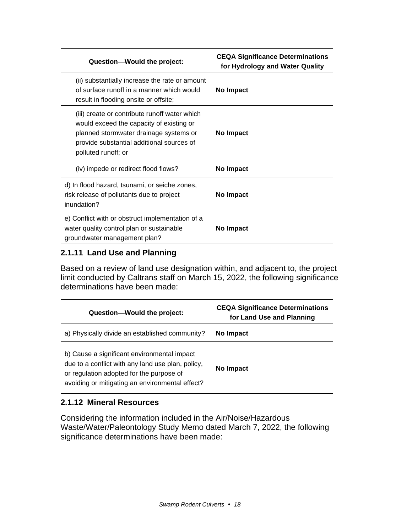| Question-Would the project:                                                                                                                                                                             | <b>CEQA Significance Determinations</b><br>for Hydrology and Water Quality |
|---------------------------------------------------------------------------------------------------------------------------------------------------------------------------------------------------------|----------------------------------------------------------------------------|
| (ii) substantially increase the rate or amount<br>of surface runoff in a manner which would<br>result in flooding onsite or offsite;                                                                    | <b>No Impact</b>                                                           |
| (iii) create or contribute runoff water which<br>would exceed the capacity of existing or<br>planned stormwater drainage systems or<br>provide substantial additional sources of<br>polluted runoff; or | No Impact                                                                  |
| (iv) impede or redirect flood flows?                                                                                                                                                                    | <b>No Impact</b>                                                           |
| d) In flood hazard, tsunami, or seiche zones,<br>risk release of pollutants due to project<br>inundation?                                                                                               | No Impact                                                                  |
| e) Conflict with or obstruct implementation of a<br>water quality control plan or sustainable<br>groundwater management plan?                                                                           | <b>No Impact</b>                                                           |

#### <span id="page-25-0"></span>**2.1.11 Land Use and Planning**

Based on a review of land use designation within, and adjacent to, the project limit conducted by Caltrans staff on March 15, 2022, the following significance determinations have been made:

| Question-Would the project:                                                                                                                                                                     | <b>CEQA Significance Determinations</b><br>for Land Use and Planning |
|-------------------------------------------------------------------------------------------------------------------------------------------------------------------------------------------------|----------------------------------------------------------------------|
| a) Physically divide an established community?                                                                                                                                                  | No Impact                                                            |
| b) Cause a significant environmental impact<br>due to a conflict with any land use plan, policy,<br>or regulation adopted for the purpose of<br>avoiding or mitigating an environmental effect? | No Impact                                                            |

#### <span id="page-25-1"></span>**2.1.12 Mineral Resources**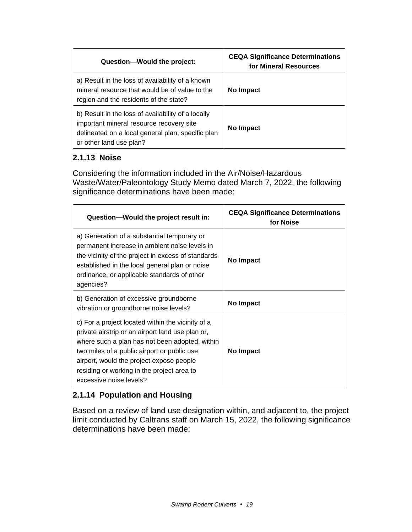| Question-Would the project:                                                                                                                                                    | <b>CEQA Significance Determinations</b><br>for Mineral Resources |
|--------------------------------------------------------------------------------------------------------------------------------------------------------------------------------|------------------------------------------------------------------|
| a) Result in the loss of availability of a known<br>mineral resource that would be of value to the<br>region and the residents of the state?                                   | No Impact                                                        |
| b) Result in the loss of availability of a locally<br>important mineral resource recovery site<br>delineated on a local general plan, specific plan<br>or other land use plan? | <b>No Impact</b>                                                 |

#### <span id="page-26-0"></span>**2.1.13 Noise**

Considering the information included in the Air/Noise/Hazardous Waste/Water/Paleontology Study Memo dated March 7, 2022, the following significance determinations have been made:

| Question-Would the project result in:                                                                                                                                                                                                                                                                                       | <b>CEQA Significance Determinations</b><br>for Noise |
|-----------------------------------------------------------------------------------------------------------------------------------------------------------------------------------------------------------------------------------------------------------------------------------------------------------------------------|------------------------------------------------------|
| a) Generation of a substantial temporary or<br>permanent increase in ambient noise levels in<br>the vicinity of the project in excess of standards<br>established in the local general plan or noise<br>ordinance, or applicable standards of other<br>agencies?                                                            | No Impact                                            |
| b) Generation of excessive groundborne<br>vibration or groundborne noise levels?                                                                                                                                                                                                                                            | <b>No Impact</b>                                     |
| c) For a project located within the vicinity of a<br>private airstrip or an airport land use plan or,<br>where such a plan has not been adopted, within<br>two miles of a public airport or public use<br>airport, would the project expose people<br>residing or working in the project area to<br>excessive noise levels? | <b>No Impact</b>                                     |

#### <span id="page-26-1"></span>**2.1.14 Population and Housing**

Based on a review of land use designation within, and adjacent to, the project limit conducted by Caltrans staff on March 15, 2022, the following significance determinations have been made: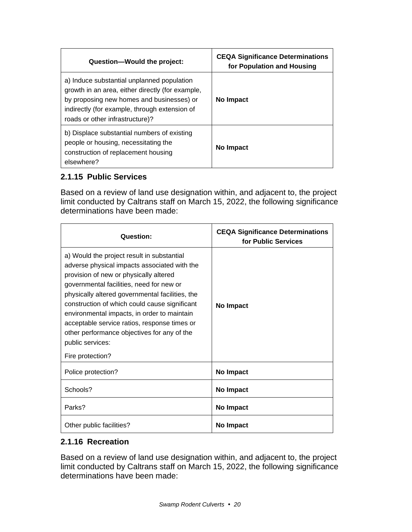| Question-Would the project:                                                                                                                                                                                                     | <b>CEQA Significance Determinations</b><br>for Population and Housing |
|---------------------------------------------------------------------------------------------------------------------------------------------------------------------------------------------------------------------------------|-----------------------------------------------------------------------|
| a) Induce substantial unplanned population<br>growth in an area, either directly (for example,<br>by proposing new homes and businesses) or<br>indirectly (for example, through extension of<br>roads or other infrastructure)? | <b>No Impact</b>                                                      |
| b) Displace substantial numbers of existing<br>people or housing, necessitating the<br>construction of replacement housing<br>elsewhere?                                                                                        | No Impact                                                             |

#### <span id="page-27-0"></span>**2.1.15 Public Services**

Based on a review of land use designation within, and adjacent to, the project limit conducted by Caltrans staff on March 15, 2022, the following significance determinations have been made:

| Question:                                                                                                                                                                                                                                                                                                                                                                                                                                                                  | <b>CEQA Significance Determinations</b><br>for Public Services |
|----------------------------------------------------------------------------------------------------------------------------------------------------------------------------------------------------------------------------------------------------------------------------------------------------------------------------------------------------------------------------------------------------------------------------------------------------------------------------|----------------------------------------------------------------|
| a) Would the project result in substantial<br>adverse physical impacts associated with the<br>provision of new or physically altered<br>governmental facilities, need for new or<br>physically altered governmental facilities, the<br>construction of which could cause significant<br>environmental impacts, in order to maintain<br>acceptable service ratios, response times or<br>other performance objectives for any of the<br>public services:<br>Fire protection? | No Impact                                                      |
| Police protection?                                                                                                                                                                                                                                                                                                                                                                                                                                                         | No Impact                                                      |
| Schools?                                                                                                                                                                                                                                                                                                                                                                                                                                                                   | <b>No Impact</b>                                               |
| Parks?                                                                                                                                                                                                                                                                                                                                                                                                                                                                     | No Impact                                                      |
| Other public facilities?                                                                                                                                                                                                                                                                                                                                                                                                                                                   | <b>No Impact</b>                                               |

#### <span id="page-27-1"></span>**2.1.16 Recreation**

Based on a review of land use designation within, and adjacent to, the project limit conducted by Caltrans staff on March 15, 2022, the following significance determinations have been made: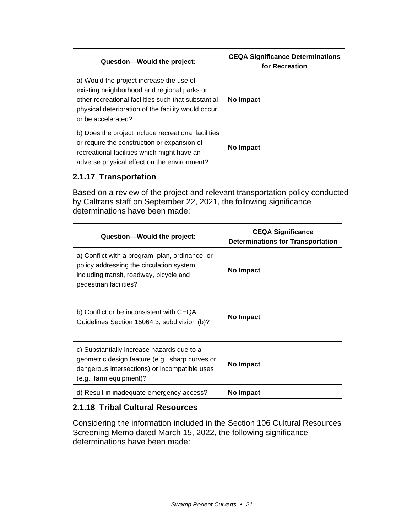| Question-Would the project:                                                                                                                                                                                                | <b>CEQA Significance Determinations</b><br>for Recreation |
|----------------------------------------------------------------------------------------------------------------------------------------------------------------------------------------------------------------------------|-----------------------------------------------------------|
| a) Would the project increase the use of<br>existing neighborhood and regional parks or<br>other recreational facilities such that substantial<br>physical deterioration of the facility would occur<br>or be accelerated? | No Impact                                                 |
| b) Does the project include recreational facilities<br>or require the construction or expansion of<br>recreational facilities which might have an<br>adverse physical effect on the environment?                           | No Impact                                                 |

#### <span id="page-28-0"></span>**2.1.17 Transportation**

Based on a review of the project and relevant transportation policy conducted by Caltrans staff on September 22, 2021, the following significance determinations have been made:

| Question-Would the project:                                                                                                                                               | <b>CEQA Significance</b><br><b>Determinations for Transportation</b> |
|---------------------------------------------------------------------------------------------------------------------------------------------------------------------------|----------------------------------------------------------------------|
| a) Conflict with a program, plan, ordinance, or<br>policy addressing the circulation system,<br>including transit, roadway, bicycle and<br>pedestrian facilities?         | No Impact                                                            |
| b) Conflict or be inconsistent with CEQA<br>Guidelines Section 15064.3, subdivision (b)?                                                                                  | No Impact                                                            |
| c) Substantially increase hazards due to a<br>geometric design feature (e.g., sharp curves or<br>dangerous intersections) or incompatible uses<br>(e.g., farm equipment)? | No Impact                                                            |
| d) Result in inadequate emergency access?                                                                                                                                 | No Impact                                                            |

#### <span id="page-28-1"></span>**2.1.18 Tribal Cultural Resources**

Considering the information included in the Section 106 Cultural Resources Screening Memo dated March 15, 2022, the following significance determinations have been made: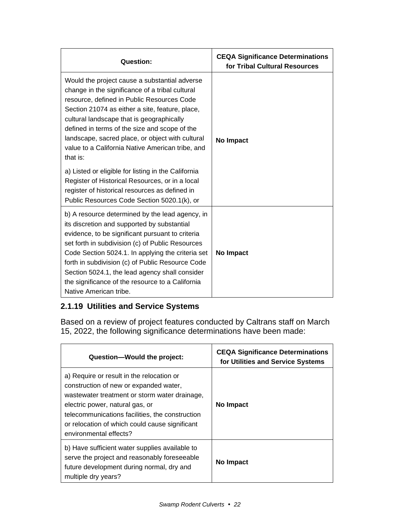| Question:                                                                                                                                                                                                                                                                                                                                                                                                                                       | <b>CEQA Significance Determinations</b><br>for Tribal Cultural Resources |
|-------------------------------------------------------------------------------------------------------------------------------------------------------------------------------------------------------------------------------------------------------------------------------------------------------------------------------------------------------------------------------------------------------------------------------------------------|--------------------------------------------------------------------------|
| Would the project cause a substantial adverse<br>change in the significance of a tribal cultural<br>resource, defined in Public Resources Code<br>Section 21074 as either a site, feature, place,<br>cultural landscape that is geographically<br>defined in terms of the size and scope of the<br>landscape, sacred place, or object with cultural<br>value to a California Native American tribe, and<br>that is:                             | No Impact                                                                |
| a) Listed or eligible for listing in the California<br>Register of Historical Resources, or in a local<br>register of historical resources as defined in<br>Public Resources Code Section 5020.1(k), or                                                                                                                                                                                                                                         |                                                                          |
| b) A resource determined by the lead agency, in<br>its discretion and supported by substantial<br>evidence, to be significant pursuant to criteria<br>set forth in subdivision (c) of Public Resources<br>Code Section 5024.1. In applying the criteria set<br>forth in subdivision (c) of Public Resource Code<br>Section 5024.1, the lead agency shall consider<br>the significance of the resource to a California<br>Native American tribe. | <b>No Impact</b>                                                         |

#### <span id="page-29-0"></span>**2.1.19 Utilities and Service Systems**

Based on a review of project features conducted by Caltrans staff on March 15, 2022, the following significance determinations have been made:

| Question-Would the project:                                                                                                                                                                                                                                                                            | <b>CEQA Significance Determinations</b><br>for Utilities and Service Systems |
|--------------------------------------------------------------------------------------------------------------------------------------------------------------------------------------------------------------------------------------------------------------------------------------------------------|------------------------------------------------------------------------------|
| a) Require or result in the relocation or<br>construction of new or expanded water,<br>wastewater treatment or storm water drainage,<br>electric power, natural gas, or<br>telecommunications facilities, the construction<br>or relocation of which could cause significant<br>environmental effects? | No Impact                                                                    |
| b) Have sufficient water supplies available to<br>serve the project and reasonably foreseeable<br>future development during normal, dry and<br>multiple dry years?                                                                                                                                     | No Impact                                                                    |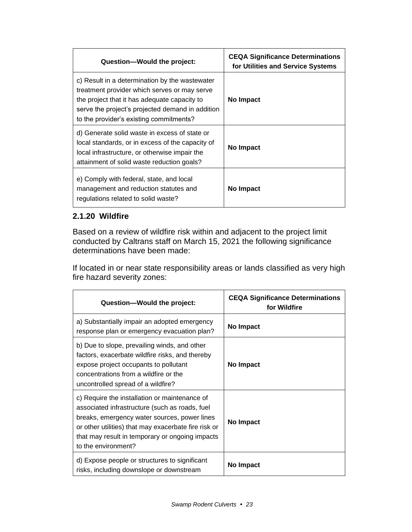| Question—Would the project:                                                                                                                                                                                                                   | <b>CEQA Significance Determinations</b><br>for Utilities and Service Systems |
|-----------------------------------------------------------------------------------------------------------------------------------------------------------------------------------------------------------------------------------------------|------------------------------------------------------------------------------|
| c) Result in a determination by the wastewater<br>treatment provider which serves or may serve<br>the project that it has adequate capacity to<br>serve the project's projected demand in addition<br>to the provider's existing commitments? | No Impact                                                                    |
| d) Generate solid waste in excess of state or<br>local standards, or in excess of the capacity of<br>local infrastructure, or otherwise impair the<br>attainment of solid waste reduction goals?                                              | No Impact                                                                    |
| e) Comply with federal, state, and local<br>management and reduction statutes and<br>regulations related to solid waste?                                                                                                                      | No Impact                                                                    |

#### <span id="page-30-0"></span>**2.1.20 Wildfire**

Based on a review of wildfire risk within and adjacent to the project limit conducted by Caltrans staff on March 15, 2021 the following significance determinations have been made:

If located in or near state responsibility areas or lands classified as very high fire hazard severity zones:

| Question-Would the project:                                                                                                                                                                                                                                                       | <b>CEQA Significance Determinations</b><br>for Wildfire |
|-----------------------------------------------------------------------------------------------------------------------------------------------------------------------------------------------------------------------------------------------------------------------------------|---------------------------------------------------------|
| a) Substantially impair an adopted emergency<br>response plan or emergency evacuation plan?                                                                                                                                                                                       | No Impact                                               |
| b) Due to slope, prevailing winds, and other<br>factors, exacerbate wildfire risks, and thereby<br>expose project occupants to pollutant<br>concentrations from a wildfire or the<br>uncontrolled spread of a wildfire?                                                           | No Impact                                               |
| c) Require the installation or maintenance of<br>associated infrastructure (such as roads, fuel<br>breaks, emergency water sources, power lines<br>or other utilities) that may exacerbate fire risk or<br>that may result in temporary or ongoing impacts<br>to the environment? | No Impact                                               |
| d) Expose people or structures to significant<br>risks, including downslope or downstream                                                                                                                                                                                         | No Impact                                               |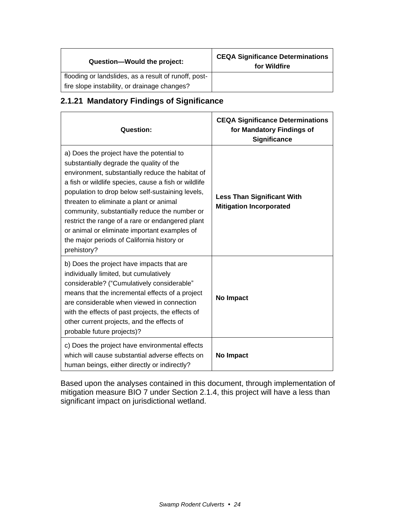| Question-Would the project:                          | <b>CEQA Significance Determinations</b><br>for Wildfire |
|------------------------------------------------------|---------------------------------------------------------|
| flooding or landslides, as a result of runoff, post- |                                                         |
| fire slope instability, or drainage changes?         |                                                         |

# <span id="page-31-0"></span>**2.1.21 Mandatory Findings of Significance**

| <b>Question:</b>                                                                                                                                                                                                                                                                                                                                                                                                                                                                                                   | <b>CEQA Significance Determinations</b><br>for Mandatory Findings of<br><b>Significance</b> |
|--------------------------------------------------------------------------------------------------------------------------------------------------------------------------------------------------------------------------------------------------------------------------------------------------------------------------------------------------------------------------------------------------------------------------------------------------------------------------------------------------------------------|---------------------------------------------------------------------------------------------|
| a) Does the project have the potential to<br>substantially degrade the quality of the<br>environment, substantially reduce the habitat of<br>a fish or wildlife species, cause a fish or wildlife<br>population to drop below self-sustaining levels,<br>threaten to eliminate a plant or animal<br>community, substantially reduce the number or<br>restrict the range of a rare or endangered plant<br>or animal or eliminate important examples of<br>the major periods of California history or<br>prehistory? | <b>Less Than Significant With</b><br><b>Mitigation Incorporated</b>                         |
| b) Does the project have impacts that are<br>individually limited, but cumulatively<br>considerable? ("Cumulatively considerable"<br>means that the incremental effects of a project<br>are considerable when viewed in connection<br>with the effects of past projects, the effects of<br>other current projects, and the effects of<br>probable future projects)?                                                                                                                                                | No Impact                                                                                   |
| c) Does the project have environmental effects<br>which will cause substantial adverse effects on<br>human beings, either directly or indirectly?                                                                                                                                                                                                                                                                                                                                                                  | <b>No Impact</b>                                                                            |

Based upon the analyses contained in this document, through implementation of mitigation measure BIO 7 under Section 2.1.4, this project will have a less than significant impact on jurisdictional wetland.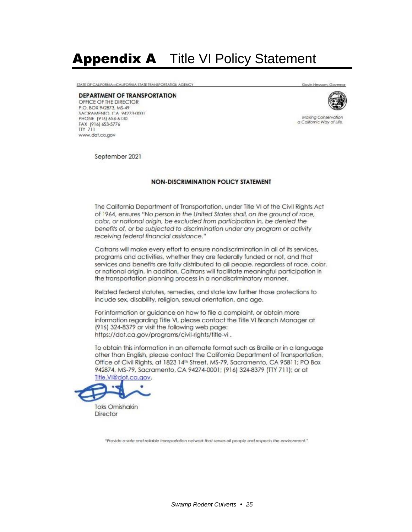# <span id="page-32-0"></span>**Appendix A** Title VI Policy Statement

STATE OF CALIFORNIA-CALIFORNIA STATE TRANSPORTATION AGENCY

#### **DEPARTMENT OF TRANSPORTATION**

OFFICE OF THE DIRECTOR P.O. BOX 942873, MS-49 SACRAMENTO, CA 94273-0001 PHONE (916) 654-6130 FAX (916) 653-5776 **TIY 711** www.dot.ca.gov



Making Conservation a Californic Way of Life.

September 2021

#### **NON-DISCRIMINATION POLICY STATEMENT**

The California Department of Transportation, under Title VI of the Civil Rights Act of 1964, ensures "No person in the United States shall, on the ground of race, color, or national origin, be excluded from participation in, be denied the benefits of, or be subjected to discrimination under any program or activity receiving federal financial assistance."

Caltrans will make every effort to ensure nondiscrimination in all of its services, programs and activities, whether they are federally funded or not, and that services and benefits are fairly distributed to all people, regardless of race, color, or national origin, In addition, Caltrans will facilitate meaningful participation in the transportation planning process in a nondiscriminatory manner.

Related federal statutes, remedies, and state law further those protections to include sex, disability, religion, sexual orientation, and age.

For information or guidance on how to file a complaint, or obtain more information regarding Title VI, please contact the Title VI Branch Manager at (916) 324-8379 or visit the following web page: https://dot.ca.gov/programs/civil-rights/title-vi.

To obtain this information in an alternate format such as Braille or in a language other than English, please contact the California Department of Transportation, Office of Civil Rights, at 1823 14th Street, MS-79, Sacramento, CA 95811; PO Box 942874, MS-79, Sacramento, CA 94274-0001; (916) 324-8379 (TTY 711); or at Title.VI@dot.ca.gov.

**Toks Omishakin** 

Director

"Provide a safe and reliable transportation network that serves all people and respects the environment."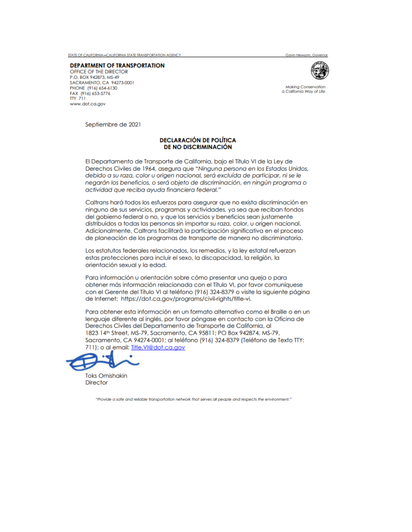**STATE OF CALIFORNIA-CALIFORNIA STATE TRANSPORTATION AGENCY** 

**DEPARTMENT OF TRANSPORTATION** OFFICE OF THE DIRECTOR P.O. BOX 942873, MS-49 SACRAMENTO, CA 94273-0001 PHONE (916) 654-6130 FAX (916) 653-5776  $TTY$   $711$ www.dot.ca.gov



**Making Conservation** a California Way of Life

Gavin Newsom, Gov

Septiembre de 2021

#### **DECLARACIÓN DE POLÍTICA DE NO DISCRIMINACIÓN**

El Departamento de Transporte de California, bajo el Título VI de la Ley de Derechos Civiles de 1964, asegura que "Ninguna persona en los Estados Unidos, debido a su raza, color u origen nacional, será excluída de participar, ni se le negarán los beneficios, o será objeto de discriminación, en ningún programa o actividad que reciba ayuda financiera federal."

Caltrans hará todos los esfuerzos para asegurar que no exista discriminación en ninguno de sus servicios, programas y actividades, ya sea que reciban fondos del gobierno federal o no, y que los servicios y beneficios sean justamente distribuidos a todas las personas sin importar su raza, color, u origen nacional. Adicionalmente, Caltrans facilitará la participación significativa en el proceso de planeación de los programas de transporte de manera no discriminatoria.

Los estatutos federales relacionados, los remedios, y la ley estatal refuerzan estas protecciones para incluir el sexo, la discapacidad, la religión, la orientación sexual y la edad.

Para información u orientación sobre cómo presentar una queja o para obtener más información relacionada con el Título VI, por favor comuníquese con el Gerente del Título VI al teléfono (916) 324-8379 o visite la siguiente página de Internet: https://dot.ca.gov/programs/civil-rights/title-vi.

Para obtener esta información en un formato alternativo como el Braille o en un lenguaje diferente al inglés, por favor póngase en contacto con la Oficina de Derechos Civiles del Departamento de Transporte de California, al 1823 14th Street, MS-79, Sacramento, CA 95811; PO Box 942874, MS-79, Sacramento, CA 94274-0001; al teléfono (916) 324-8379 (Teléfono de Texto TTY: 711); o al email: Title.VI@dot.ca.gov

**Toks Omishakin Director** 

"Provide a safe and reliable transportation network that serves all people and respects the environment."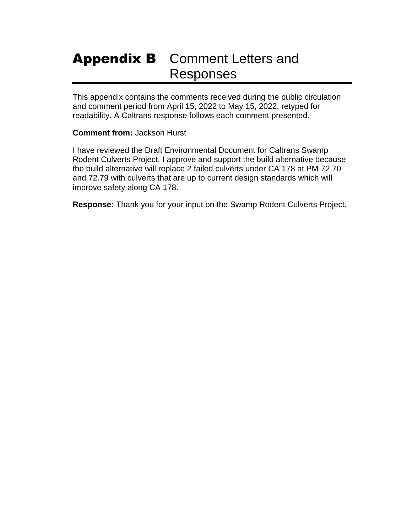# <span id="page-34-0"></span>Appendix B Comment Letters and Responses

This appendix contains the comments received during the public circulation and comment period from April 15, 2022 to May 15, 2022, retyped for readability. A Caltrans response follows each comment presented.

#### **Comment from:** Jackson Hurst

I have reviewed the Draft Environmental Document for Caltrans Swamp Rodent Culverts Project. I approve and support the build alternative because the build alternative will replace 2 failed culverts under CA 178 at PM 72.70 and 72.79 with culverts that are up to current design standards which will improve safety along CA 178.

**Response:** Thank you for your input on the Swamp Rodent Culverts Project.